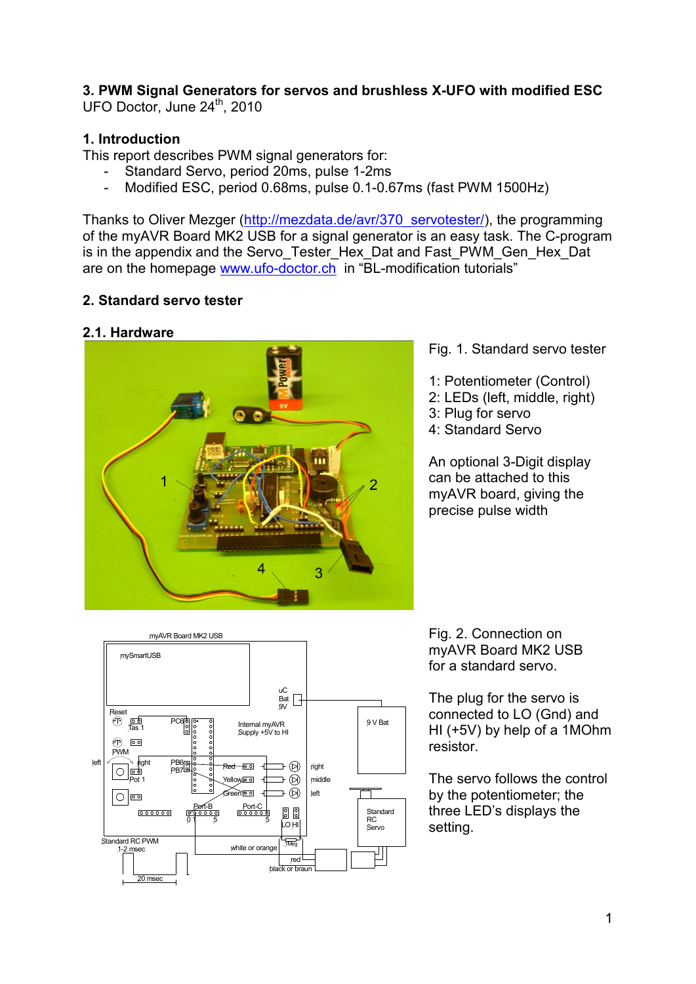**3. PWM Signal Generators for servos and brushless X-UFO with modified ESC**  UFO Doctor, June 24<sup>th</sup>, 2010

## **1. Introduction**

This report describes PWM signal generators for:

- Standard Servo, period 20ms, pulse 1-2ms
- Modified ESC, period 0.68ms, pulse 0.1-0.67ms (fast PWM 1500Hz)

Thanks to Oliver Mezger (http://mezdata.de/avr/370\_servotester/), the programming of the myAVR Board MK2 USB for a signal generator is an easy task. The C-program is in the appendix and the Servo Tester Hex Dat and Fast PWM Gen Hex Dat are on the homepage www.ufo-doctor.ch in "BL-modification tutorials"

## **2. Standard servo tester**

## **2.1. Hardware**



### Fig. 1. Standard servo tester

- 1: Potentiometer (Control)
- 2: LEDs (left, middle, right)
- 3: Plug for servo
- 4: Standard Servo

An optional 3-Digit display can be attached to this myAVR board, giving the precise pulse width



Fig. 2. Connection on myAVR Board MK2 USB for a standard servo.

The plug for the servo is connected to LO (Gnd) and HI (+5V) by help of a 1MOhm resistor.

The servo follows the control by the potentiometer; the three LED's displays the setting.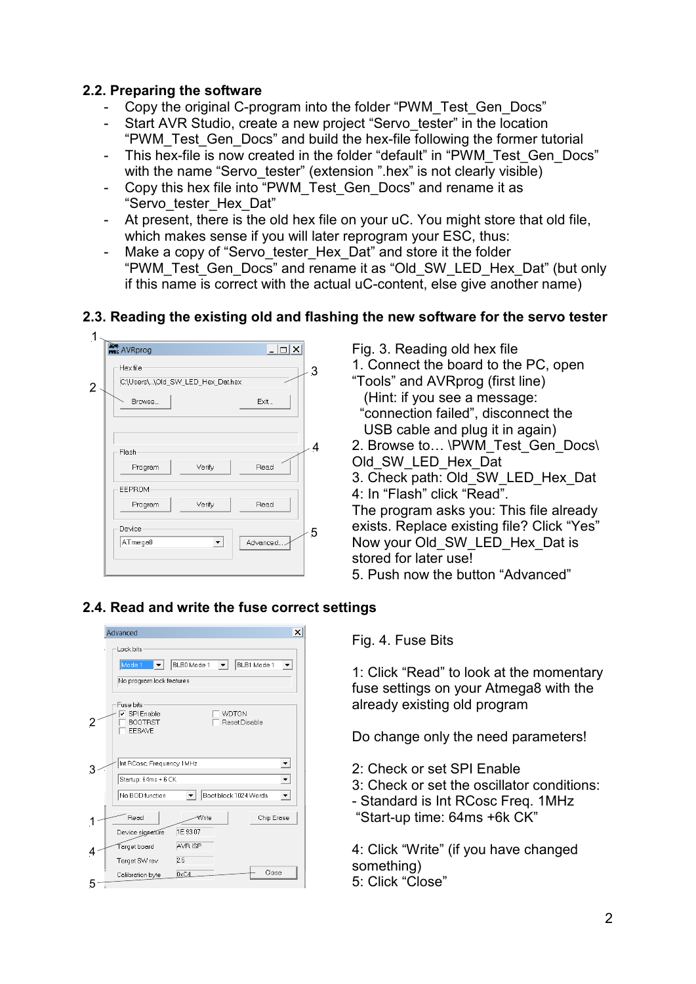### **2.2. Preparing the software**

- Copy the original C-program into the folder "PWM\_Test\_Gen\_Docs"
- Start AVR Studio, create a new project "Servo tester" in the location "PWM\_Test\_Gen\_Docs" and build the hex-file following the former tutorial
- This hex-file is now created in the folder "default" in "PWM\_Test\_Gen\_Docs" with the name "Servo tester" (extension ".hex" is not clearly visible)
- Copy this hex file into "PWM\_Test\_Gen\_Docs" and rename it as "Servo\_tester\_Hex\_Dat"
- At present, there is the old hex file on your uC. You might store that old file, which makes sense if you will later reprogram your ESC, thus:
- Make a copy of "Servo tester Hex Dat" and store it the folder "PWM\_Test\_Gen\_Docs" and rename it as "Old\_SW\_LED\_Hex\_Dat" (but only if this name is correct with the actual uC-content, else give another name)

# **2.3. Reading the existing old and flashing the new software for the servo tester**



Fig. 3. Reading old hex file 1. Connect the board to the PC, open "Tools" and AVRprog (first line) (Hint: if you see a message: "connection failed", disconnect the USB cable and plug it in again) 2. Browse to... \PWM\_Test\_Gen\_Docs\ Old\_SW\_LED\_Hex\_Dat 3. Check path: Old\_SW\_LED\_Hex\_Dat 4: In "Flash" click "Read". The program asks you: This file already exists. Replace existing file? Click "Yes" Now your Old SW LED Hex Dat is stored for later use! 5. Push now the button "Advanced"

## **2.4. Read and write the fuse correct settings**

|   | ×<br>Advanced                                                                                                |  |  |
|---|--------------------------------------------------------------------------------------------------------------|--|--|
|   | Lock bits<br>BLB1 Mode 1<br>BLB0 Mode 1<br>Mode 1<br>No program lock features                                |  |  |
|   | Fuse bits<br>$\overline{\mathsf{v}}$ SPI Enable<br>WDTON<br>Reset Disable<br><b>BOOTRST</b><br><b>EESAVE</b> |  |  |
|   | Int RCosc, Frequency 1MHz<br>▼<br>Startup: 64ms + 6 CK<br>No BOD function<br>Boot block 1024 Words           |  |  |
|   | Read<br>Chip Erase<br>Write<br>1E9307<br>Device signature                                                    |  |  |
|   | AVR ISP<br>Target board<br>2.5<br>Target SW rev.                                                             |  |  |
| 5 | Close<br>0xC4<br>Calibration byte                                                                            |  |  |

Fig. 4. Fuse Bits

1: Click "Read" to look at the momentary fuse settings on your Atmega8 with the already existing old program

Do change only the need parameters!

2: Check or set SPI Enable

3: Check or set the oscillator conditions:

- Standard is Int RCosc Freq. 1MHz "Start-up time: 64ms +6k CK"

4: Click "Write" (if you have changed something) 5: Click "Close"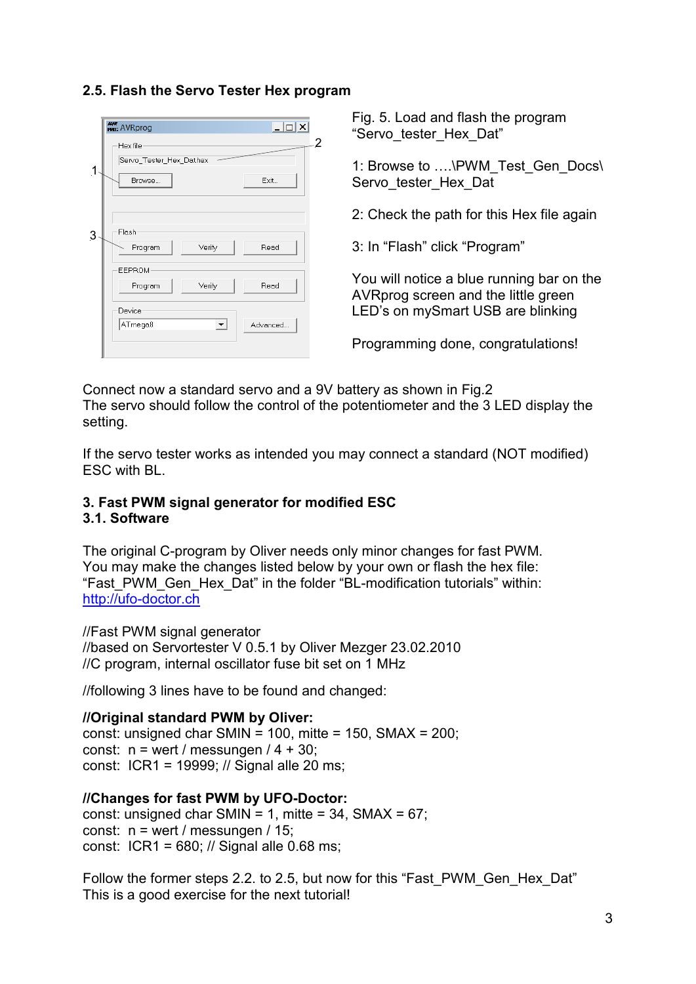## **2.5. Flash the Servo Tester Hex program**

| <b>AVR</b><br><b>PROG</b> AVRprog<br>$ \Box$ $\times$<br>2<br>Hex file | Fig. 5<br>Serv"       |
|------------------------------------------------------------------------|-----------------------|
| Servo_Tester_Hex_Dat.hex<br>1<br>Exit<br>Browse                        | $1:$ Bro<br>Servo     |
|                                                                        | 2:Ch                  |
| Flash<br>3<br>Verify<br>Read<br>Program                                | $3:$ In $'$           |
| <b>EEPROM</b><br>Read<br>Verify<br>Program<br>Device                   | You v<br>AVR<br>LED's |
| ATmega8<br>Advanced<br>$\blacktriangledown$                            | Progr                 |

. Load and flash the program "o tester Hex Dat

owse to ....\PWM\_Test\_Gen\_Docs\ o tester Hex Dat

eck the path for this Hex file again

"Flash" click "Program"

will notice a blue running bar on the orog screen and the little green s on mySmart USB are blinking

ramming done, congratulations!

Connect now a standard servo and a 9V battery as shown in Fig.2 The servo should follow the control of the potentiometer and the 3 LED display the setting.

If the servo tester works as intended you may connect a standard (NOT modified) ESC with BL.

### **3. Fast PWM signal generator for modified ESC 3.1. Software**

The original C-program by Oliver needs only minor changes for fast PWM. You may make the changes listed below by your own or flash the hex file: "Fast PWM Gen Hex Dat" in the folder "BL-modification tutorials" within: http://ufo-doctor.ch

//Fast PWM signal generator

//based on Servortester V 0.5.1 by Oliver Mezger 23.02.2010 //C program, internal oscillator fuse bit set on 1 MHz

//following 3 lines have to be found and changed:

**//Original standard PWM by Oliver:**  const: unsigned char SMIN = 100, mitte = 150, SMAX =  $200$ ; const:  $n =$  wert / messungen / 4 + 30;

const: ICR1 = 19999; // Signal alle 20 ms;

## **//Changes for fast PWM by UFO-Doctor:**

const: unsigned char SMIN = 1, mitte =  $34$ , SMAX =  $67$ ; const:  $n =$  wert / messungen / 15; const: ICR1 = 680; // Signal alle 0.68 ms;

Follow the former steps 2.2. to 2.5, but now for this "Fast\_PWM\_Gen\_Hex\_Dat" This is a good exercise for the next tutorial!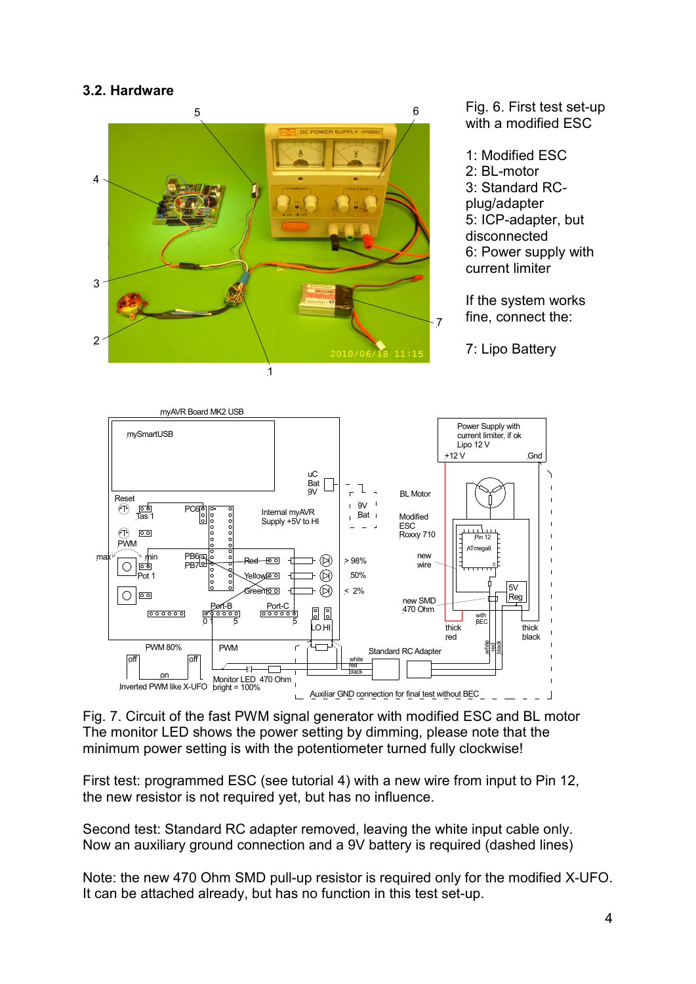### **3.2. Hardware**



Fig. 6. First test set-up with a modified ESC

1: Modified ESC 2: BL-motor 3: Standard RCplug/adapter 5: ICP-adapter, but disconnected 6: Power supply with current limiter

If the system works fine, connect the:

7: Lipo Battery



Fig. 7. Circuit of the fast PWM signal generator with modified ESC and BL motor The monitor LED shows the power setting by dimming, please note that the minimum power setting is with the potentiometer turned fully clockwise!

First test: programmed ESC (see tutorial 4) with a new wire from input to Pin 12, the new resistor is not required yet, but has no influence.

Second test: Standard RC adapter removed, leaving the white input cable only. Now an auxiliary ground connection and a 9V battery is required (dashed lines)

Note: the new 470 Ohm SMD pull-up resistor is required only for the modified X-UFO. It can be attached already, but has no function in this test set-up.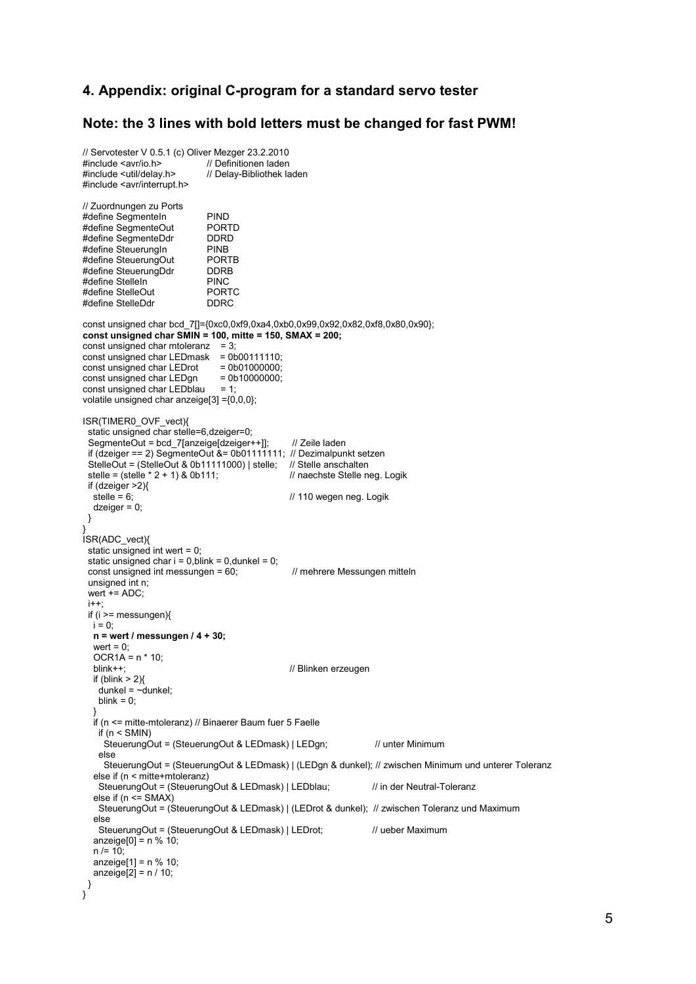#### **4. Appendix: original C-program for a standard servo tester**

#### **Note: the 3 lines with bold letters must be changed for fast PWM!**

```
// Servotester V 0.5.1 (c) Oliver Mezger 23.2.2010 
#include <avr/io.h> // Definitionen laden<br>#include <util/delay.h> // Delay-Bibliothek la
                                  // Delay-Bibliothek laden
#include <avr/interrupt.h> 
// Zuordnungen zu Ports 
#define SegmenteIn PIND<br>#define SegmenteOut PORTD
#define SegmenteOut PORTI<br>#define SegmenteDdr DDRD
#define SegmenteDdr  DDRD<br>#define SteuerungIn  PINB
#define SteuerungIn PINB<br>#define SteuerungOut PORTB
#define SteuerungOut PORT<br>#define SteuerungDdr PDRB
#define SteuerungDdr   DDRE<br>#define StelleIn   PINC
#define StelleIn PINC<br>#define StelleOut PORTC
#define StelleOut PORT<br>#define StelleDdr DDRC
#define StelleDdr
const unsigned char bcd_7[]={0xc0,0xf9,0xa4,0xb0,0x99,0x92,0x82,0xf8,0x80,0x90}; 
const unsigned char SMIN = 100, mitte = 150, SMAX = 200; 
const unsigned char mtoleranz = 3;
const unsigned char LEDmask = 0b00111110;<br>const unsigned char LEDrot = 0b01000000:
const unsigned char LEDrot = 0b01000000;<br>const unsigned char LEDgn = 0b10000000;
const unsigned char LEDgn = 0b<br>
const unsigned char LEDblau = 1;
const unsigned char LEDblau
volatile unsigned char anzeige[3] ={0,0,0}; 
ISR(TIMER0_OVF_vect){ 
  static unsigned char stelle=6,dzeiger=0; 
 SegmenteOut = bcd 7[anzeige[dzeiger++]]; // Zeile laden
  if (dzeiger == 2) SegmenteOut &= 0b01111111; // Dezimalpunkt setzen 
 StelleOut = (StelleOut & 0b11111000) | stelle; // Stelle anschalten<br>stelle = (stelle * 2 + 1) & 0b111; // naechste Stelle neg. Logik
 stelle = (stelle * 2 + 1) & 0b111;
 if (dzeiger >2){<br>stelle = 6:
                                                        // 110 wegen neg. Logik
   dzeiger = 0;
  } 
} 
ISR(ADC_vect){ 
  static unsigned int wert = 0; 
 static unsigned char i = 0, blink = 0, dunkel = 0;
 const unsigned int messungen = 60: // mehrere Messungen mitteln
  unsigned int n; 
  wert += ADC; 
 i++;
  if (i >= messungen){ 
   i = 0;
    n = wert / messungen / 4 + 30; 
   wert = 0:
   OCR1A = n * 10;<br>blink++;
                                                        // Blinken erzeugen
   if (blink > 2)
    dunkel = \simdunkel;
    blink = 0;
 } 
    if (n <= mitte-mtoleranz) // Binaerer Baum fuer 5 Faelle 
     if (n < SMIN) 
      SteuerungOut = (SteuerungOut & LEDmask) | LEDgn; // unter Minimum
     else 
       SteuerungOut = (SteuerungOut & LEDmask) | (LEDgn & dunkel); // zwischen Minimum und unterer Toleranz 
    else if (n < mitte+mtoleranz) 
    SteuerungOut = (SteuerungOut & LEDmask) | LEDblau; // in der Neutral-Toleranz
   else if (n \leq SMAX)
     SteuerungOut = (SteuerungOut & LEDmask) | (LEDrot & dunkel); // zwischen Toleranz und Maximum 
    else 
    SteuerungOut = (SteuerungOut & LEDmask) | LEDrot; // ueber Maximum
   anzeige[0] = n % 10;
   n = 10;
    anzeige[1] = n % 10; 
   anzeige[2] = n / 10;
  } 
}
```